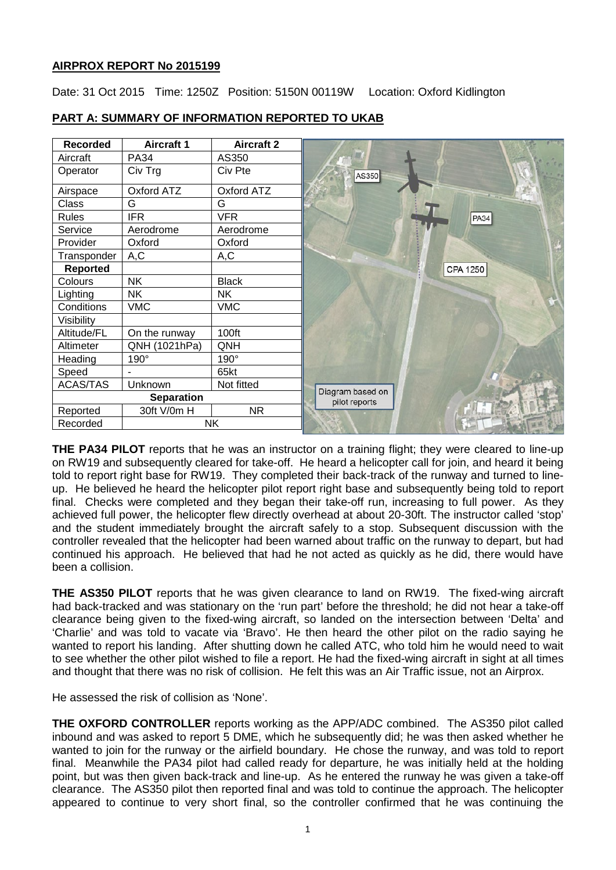## **AIRPROX REPORT No 2015199**

Date: 31 Oct 2015 Time: 1250Z Position: 5150N 00119W Location: Oxford Kidlington

| <b>Recorded</b> | <b>Aircraft 1</b> | <b>Aircraft 2</b> |
|-----------------|-------------------|-------------------|
| Aircraft        | <b>PA34</b>       | AS350             |
| Operator        | Civ Trg           | Civ Pte           |
| Airspace        | Oxford ATZ        | Oxford ATZ        |
| Class           | G                 | G                 |
| <b>Rules</b>    | <b>IFR</b>        | <b>VFR</b>        |
| Service         | Aerodrome         | Aerodrome         |
| Provider        | Oxford            | Oxford            |
| Transponder     | A,C               | A,C               |
| Reported        |                   |                   |
| Colours         | <b>NK</b>         | <b>Black</b>      |
| Lighting        | <b>NK</b>         | NΚ                |
| Conditions      | <b>VMC</b>        | <b>VMC</b>        |
| Visibility      |                   |                   |
| Altitude/FL     | On the runway     | 100ft             |
| Altimeter       | QNH (1021hPa)     | QNH               |
| Heading         | 190°              | 190°              |
| Speed           |                   | 65kt              |
| <b>ACAS/TAS</b> | Unknown           | Not fitted        |
|                 | <b>Separation</b> |                   |
| Reported        | 30ft V/0m H       | <b>NR</b>         |
| Recorded        |                   | <b>NK</b>         |

# **PART A: SUMMARY OF INFORMATION REPORTED TO UKAB**

**THE PA34 PILOT** reports that he was an instructor on a training flight; they were cleared to line-up on RW19 and subsequently cleared for take-off. He heard a helicopter call for join, and heard it being told to report right base for RW19. They completed their back-track of the runway and turned to lineup. He believed he heard the helicopter pilot report right base and subsequently being told to report final. Checks were completed and they began their take-off run, increasing to full power. As they achieved full power, the helicopter flew directly overhead at about 20-30ft. The instructor called 'stop' and the student immediately brought the aircraft safely to a stop. Subsequent discussion with the controller revealed that the helicopter had been warned about traffic on the runway to depart, but had continued his approach. He believed that had he not acted as quickly as he did, there would have been a collision.

**THE AS350 PILOT** reports that he was given clearance to land on RW19. The fixed-wing aircraft had back-tracked and was stationary on the 'run part' before the threshold; he did not hear a take-off clearance being given to the fixed-wing aircraft, so landed on the intersection between 'Delta' and 'Charlie' and was told to vacate via 'Bravo'. He then heard the other pilot on the radio saying he wanted to report his landing. After shutting down he called ATC, who told him he would need to wait to see whether the other pilot wished to file a report. He had the fixed-wing aircraft in sight at all times and thought that there was no risk of collision. He felt this was an Air Traffic issue, not an Airprox.

He assessed the risk of collision as 'None'.

**THE OXFORD CONTROLLER** reports working as the APP/ADC combined. The AS350 pilot called inbound and was asked to report 5 DME, which he subsequently did; he was then asked whether he wanted to join for the runway or the airfield boundary. He chose the runway, and was told to report final. Meanwhile the PA34 pilot had called ready for departure, he was initially held at the holding point, but was then given back-track and line-up. As he entered the runway he was given a take-off clearance. The AS350 pilot then reported final and was told to continue the approach. The helicopter appeared to continue to very short final, so the controller confirmed that he was continuing the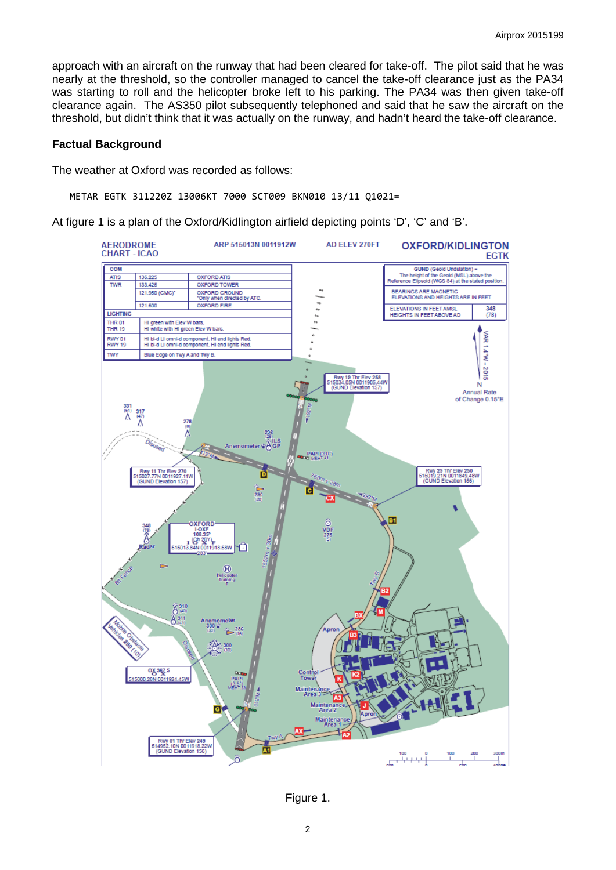approach with an aircraft on the runway that had been cleared for take-off. The pilot said that he was nearly at the threshold, so the controller managed to cancel the take-off clearance just as the PA34 was starting to roll and the helicopter broke left to his parking. The PA34 was then given take-off clearance again. The AS350 pilot subsequently telephoned and said that he saw the aircraft on the threshold, but didn't think that it was actually on the runway, and hadn't heard the take-off clearance.

#### **Factual Background**

The weather at Oxford was recorded as follows:

METAR EGTK 311220Z 13006KT 7000 SCT009 BKN010 13/11 Q1021=

At figure 1 is a plan of the Oxford/Kidlington airfield depicting points 'D', 'C' and 'B'.



Figure 1.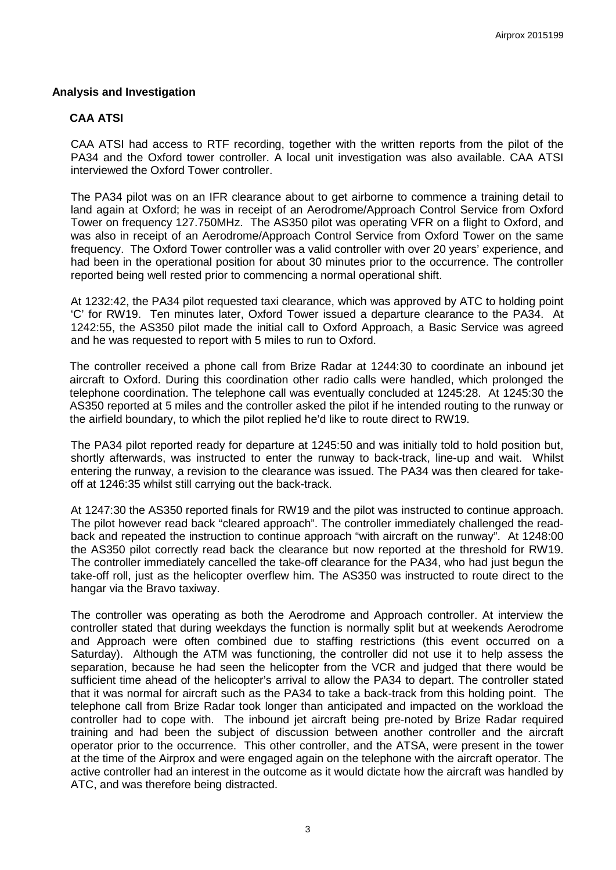### **Analysis and Investigation**

### **CAA ATSI**

CAA ATSI had access to RTF recording, together with the written reports from the pilot of the PA34 and the Oxford tower controller. A local unit investigation was also available. CAA ATSI interviewed the Oxford Tower controller.

The PA34 pilot was on an IFR clearance about to get airborne to commence a training detail to land again at Oxford; he was in receipt of an Aerodrome/Approach Control Service from Oxford Tower on frequency 127.750MHz. The AS350 pilot was operating VFR on a flight to Oxford, and was also in receipt of an Aerodrome/Approach Control Service from Oxford Tower on the same frequency. The Oxford Tower controller was a valid controller with over 20 years' experience, and had been in the operational position for about 30 minutes prior to the occurrence. The controller reported being well rested prior to commencing a normal operational shift.

At 1232:42, the PA34 pilot requested taxi clearance, which was approved by ATC to holding point 'C' for RW19. Ten minutes later, Oxford Tower issued a departure clearance to the PA34. At 1242:55, the AS350 pilot made the initial call to Oxford Approach, a Basic Service was agreed and he was requested to report with 5 miles to run to Oxford.

The controller received a phone call from Brize Radar at 1244:30 to coordinate an inbound jet aircraft to Oxford. During this coordination other radio calls were handled, which prolonged the telephone coordination. The telephone call was eventually concluded at 1245:28. At 1245:30 the AS350 reported at 5 miles and the controller asked the pilot if he intended routing to the runway or the airfield boundary, to which the pilot replied he'd like to route direct to RW19.

The PA34 pilot reported ready for departure at 1245:50 and was initially told to hold position but, shortly afterwards, was instructed to enter the runway to back-track, line-up and wait. Whilst entering the runway, a revision to the clearance was issued. The PA34 was then cleared for takeoff at 1246:35 whilst still carrying out the back-track.

At 1247:30 the AS350 reported finals for RW19 and the pilot was instructed to continue approach. The pilot however read back "cleared approach". The controller immediately challenged the readback and repeated the instruction to continue approach "with aircraft on the runway". At 1248:00 the AS350 pilot correctly read back the clearance but now reported at the threshold for RW19. The controller immediately cancelled the take-off clearance for the PA34, who had just begun the take-off roll, just as the helicopter overflew him. The AS350 was instructed to route direct to the hangar via the Bravo taxiway.

The controller was operating as both the Aerodrome and Approach controller. At interview the controller stated that during weekdays the function is normally split but at weekends Aerodrome and Approach were often combined due to staffing restrictions (this event occurred on a Saturday). Although the ATM was functioning, the controller did not use it to help assess the separation, because he had seen the helicopter from the VCR and judged that there would be sufficient time ahead of the helicopter's arrival to allow the PA34 to depart. The controller stated that it was normal for aircraft such as the PA34 to take a back-track from this holding point. The telephone call from Brize Radar took longer than anticipated and impacted on the workload the controller had to cope with. The inbound jet aircraft being pre-noted by Brize Radar required training and had been the subject of discussion between another controller and the aircraft operator prior to the occurrence. This other controller, and the ATSA, were present in the tower at the time of the Airprox and were engaged again on the telephone with the aircraft operator. The active controller had an interest in the outcome as it would dictate how the aircraft was handled by ATC, and was therefore being distracted.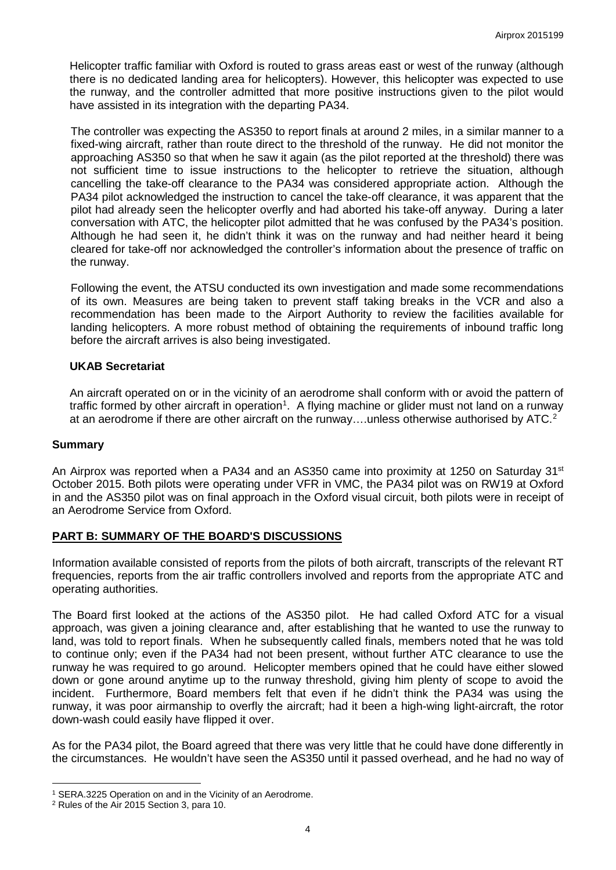Helicopter traffic familiar with Oxford is routed to grass areas east or west of the runway (although there is no dedicated landing area for helicopters). However, this helicopter was expected to use the runway, and the controller admitted that more positive instructions given to the pilot would have assisted in its integration with the departing PA34.

The controller was expecting the AS350 to report finals at around 2 miles, in a similar manner to a fixed-wing aircraft, rather than route direct to the threshold of the runway. He did not monitor the approaching AS350 so that when he saw it again (as the pilot reported at the threshold) there was not sufficient time to issue instructions to the helicopter to retrieve the situation, although cancelling the take-off clearance to the PA34 was considered appropriate action. Although the PA34 pilot acknowledged the instruction to cancel the take-off clearance, it was apparent that the pilot had already seen the helicopter overfly and had aborted his take-off anyway. During a later conversation with ATC, the helicopter pilot admitted that he was confused by the PA34's position. Although he had seen it, he didn't think it was on the runway and had neither heard it being cleared for take-off nor acknowledged the controller's information about the presence of traffic on the runway.

Following the event, the ATSU conducted its own investigation and made some recommendations of its own. Measures are being taken to prevent staff taking breaks in the VCR and also a recommendation has been made to the Airport Authority to review the facilities available for landing helicopters. A more robust method of obtaining the requirements of inbound traffic long before the aircraft arrives is also being investigated.

### **UKAB Secretariat**

An aircraft operated on or in the vicinity of an aerodrome shall conform with or avoid the pattern of traffic formed by other aircraft in operation<sup>1</sup>. A flying machine or glider must not land on a runway at an aerodrome if there are other aircraft on the runway....unless otherwise authorised by ATC.<sup>2</sup>

#### **Summary**

An Airprox was reported when a PA34 and an AS350 came into proximity at 1250 on Saturday 31<sup>st</sup> October 2015. Both pilots were operating under VFR in VMC, the PA34 pilot was on RW19 at Oxford in and the AS350 pilot was on final approach in the Oxford visual circuit, both pilots were in receipt of an Aerodrome Service from Oxford.

## **PART B: SUMMARY OF THE BOARD'S DISCUSSIONS**

Information available consisted of reports from the pilots of both aircraft, transcripts of the relevant RT frequencies, reports from the air traffic controllers involved and reports from the appropriate ATC and operating authorities.

The Board first looked at the actions of the AS350 pilot. He had called Oxford ATC for a visual approach, was given a joining clearance and, after establishing that he wanted to use the runway to land, was told to report finals. When he subsequently called finals, members noted that he was told to continue only; even if the PA34 had not been present, without further ATC clearance to use the runway he was required to go around. Helicopter members opined that he could have either slowed down or gone around anytime up to the runway threshold, giving him plenty of scope to avoid the incident. Furthermore, Board members felt that even if he didn't think the PA34 was using the runway, it was poor airmanship to overfly the aircraft; had it been a high-wing light-aircraft, the rotor down-wash could easily have flipped it over.

As for the PA34 pilot, the Board agreed that there was very little that he could have done differently in the circumstances. He wouldn't have seen the AS350 until it passed overhead, and he had no way of

l

<span id="page-3-0"></span><sup>&</sup>lt;sup>1</sup> SERA.3225 Operation on and in the Vicinity of an Aerodrome.

<span id="page-3-1"></span><sup>2</sup> Rules of the Air 2015 Section 3, para 10.